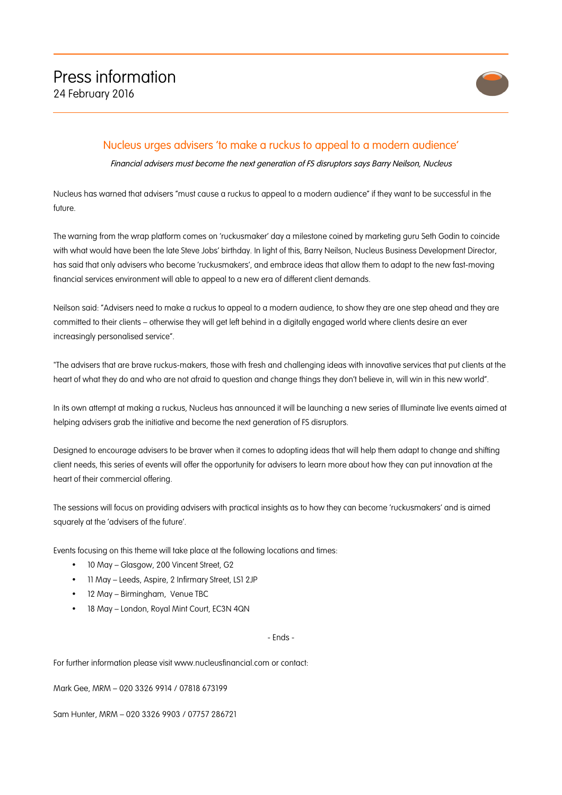

## Nucleus urges advisers 'to make a ruckus to appeal to a modern audience'

Financial advisers must become the next generation of FS disruptors says Barry Neilson, Nucleus

Nucleus has warned that advisers "must cause a ruckus to appeal to a modern audience" if they want to be successful in the future.

The warning from the wrap platform comes on 'ruckusmaker' day a milestone coined by marketing guru Seth Godin to coincide with what would have been the late Steve Jobs' birthday. In light of this, Barry Neilson, Nucleus Business Development Director, has said that only advisers who become 'ruckusmakers', and embrace ideas that allow them to adapt to the new fast-moving financial services environment will able to appeal to a new era of different client demands.

Neilson said: "Advisers need to make a ruckus to appeal to a modern audience, to show they are one step ahead and they are committed to their clients – otherwise they will get left behind in a digitally engaged world where clients desire an ever increasingly personalised service".

"The advisers that are brave ruckus-makers, those with fresh and challenging ideas with innovative services that put clients at the heart of what they do and who are not afraid to question and change things they don't believe in, will win in this new world".

In its own attempt at making a ruckus, Nucleus has announced it will be launching a new series of Illuminate live events aimed at helping advisers grab the initiative and become the next generation of FS disruptors.

Designed to encourage advisers to be braver when it comes to adopting ideas that will help them adapt to change and shifting client needs, this series of events will offer the opportunity for advisers to learn more about how they can put innovation at the heart of their commercial offering.

The sessions will focus on providing advisers with practical insights as to how they can become 'ruckusmakers' and is aimed squarely at the 'advisers of the future'.

Events focusing on this theme will take place at the following locations and times:

- 10 May Glasgow, 200 Vincent Street, G2
- 11 May Leeds, Aspire, 2 Infirmary Street, LS1 2JP
- 12 May Birmingham, Venue TBC
- 18 May London, Royal Mint Court, EC3N 4QN

## - Ends -

For further information please visit www.nucleusfinancial.com or contact:

Mark Gee, MRM – 020 3326 9914 / 07818 673199

Sam Hunter, MRM – 020 3326 9903 / 07757 286721